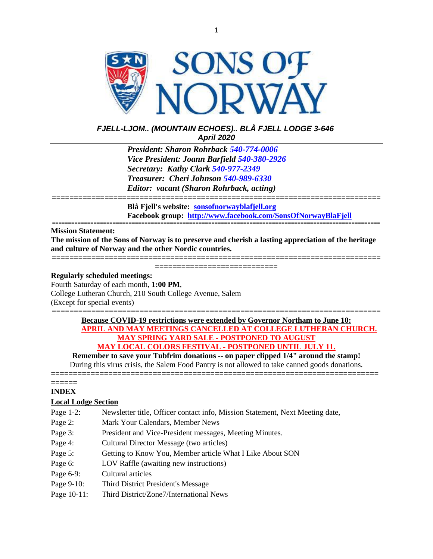

# *FJELL-LJOM.. (MOUNTAIN ECHOES).. BLÅ FJELL LODGE 3-646 April 2020*

*President: Sharon Rohrback [540-774-0006](tel:540-977-2349) Vice President: Joann Barfield [540-380-2926](tel:540-977-2349) Secretary: Kathy Clark [540-977-2349](tel:540-977-2349) Treasurer: Cheri Johnson [540-989-6330](tel:540-774-0006) Editor: vacant (Sharon Rohrback, acting)*

=========================================================================== **Blå Fjell's website: [sonsofnorwayblafjell.org](http://222.sonsofnorwayblafjell.org/) Facebook group: <http://www.facebook.com/SonsOfNorwayBlaFjell>**

#### ======================================================================================================= **Mission Statement:**

**The mission of the Sons of Norway is to preserve and cherish a lasting appreciation of the heritage and culture of Norway and the other Nordic countries.**

=========================================================================== ==============================

#### **Regularly scheduled meetings:**

Fourth Saturday of each month, **1:00 PM**, College Lutheran Church, 210 South College Avenue, Salem (Except for special events)

### =========================================================================== **Because COVID-19 restrictions were extended by Governor Northam to June 10: APRIL AND MAY MEETINGS CANCELLED AT COLLEGE LUTHERAN CHURCH. MAY SPRING YARD SALE - POSTPONED TO AUGUST MAY LOCAL COLORS FESTIVAL - POSTPONED UNTIL JULY 11.**

**Remember to save your Tubfrim donations -- on paper clipped 1/4" around the stamp!** During this virus crisis, the Salem Food Pantry is not allowed to take canned goods donations. **==========================================================================**

#### **====== INDEX**

# **Local Lodge Section**

- Page 1-2: Newsletter title, Officer contact info, Mission Statement, Next Meeting date,
- Page 2: Mark Your Calendars, Member News
- Page 3: President and Vice-President messages, Meeting Minutes.
- Page 4: Cultural Director Message (two articles)
- Page 5: Getting to Know You, Member article What I Like About SON
- Page 6: LOV Raffle (awaiting new instructions)
- Page 6-9: Cultural articles
- Page 9-10: Third District President's Message
- Page 10-11: Third District/Zone7/International News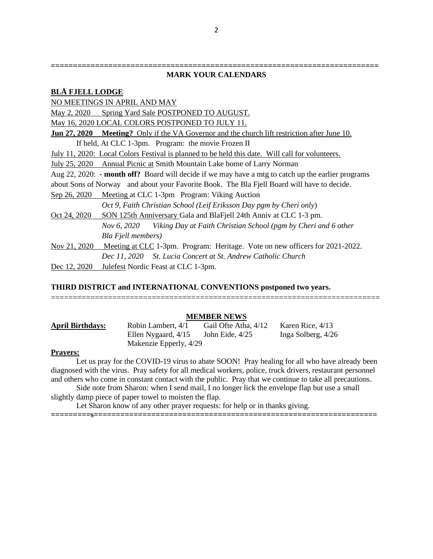#### **========================================================================== MARK YOUR CALENDARS**

# **BLÅ FJELL LODGE**  NO MEETINGS IN APRIL AND MAY May 2, 2020 Spring Yard Sale POSTPONED TO AUGUST. May 16, 2020 LOCAL COLORS POSTPONED TO JULY 11. **Jun 27, 2020 Meeting?** Only if the VA Governor and the church lift restriction after June 10. If held, At CLC 1-3pm. Program: the movie Frozen II July 11, 2020: Local Colors Festival is planned to be held this date. Will call for volunteers. July 25, 2020 Annual Picnic at Smith Mountain Lake home of Larry Norman Aug 22, 2020: **- month off?** Board will decide if we may have a mtg to catch up the earlier programs about Sons of Norway and about your Favorite Book. The Bla Fjell Board will have to decide. Sep 26, 2020 Meeting at CLC 1-3pm Program: Viking Auction *Oct 9, Faith Christian School (Leif Eriksson Day pgm by Cheri only*) Oct 24, 2020 SON 125th Anniversary Gala and BlaFjell 24th Anniv at CLC 1-3 pm. *Nov 6, 2020 Viking Day at Faith Christian School (pgm by Cheri and 6 other Bla Fjell members)* Nov 21, 2020 Meeting at CLC 1-3pm. Program: Heritage. Vote on new officers for 2021-2022. *Dec 11, 2020 St. Lucia Concert at St. Andrew Catholic Church* Dec 12, 2020 Julefest Nordic Feast at CLC 1-3pm.

### **THIRD DISTRICT and INTERNATIONAL CONVENTIONS postponed two years.**

### **MEMBER NEWS**

===========================================================================

| April Birthdays: | Robin Lambert, 4/1     | Gail Ofte Atha, 4/12 | Karen Rice, 4/13   |
|------------------|------------------------|----------------------|--------------------|
|                  | Ellen Nygaard, 4/15    | John Eide, 4/25      | Inga Solberg, 4/26 |
|                  | Makenzie Epperly, 4/29 |                      |                    |

#### **Prayers:**

Let us pray for the COVID-19 virus to abate SOON! Pray healing for all who have already been diagnosed with the virus. Pray safety for all medical workers, police, truck drivers, restaurant personnel and others who come in constant contact with the public. Pray that we continue to take all precautions.

**=========s================================================================**

Side note from Sharon: when I send mail, I no longer lick the envelope flap but use a small slightly damp piece of paper towel to moisten the flap.

Let Sharon know of any other prayer requests: for help or in thanks giving.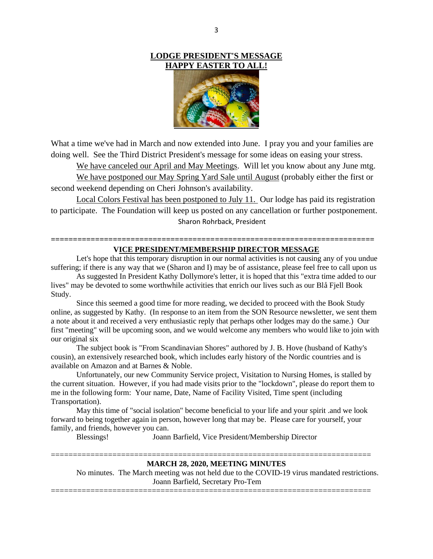### **LODGE PRESIDENT'S MESSAGE HAPPY EASTER TO ALL!**



What a time we've had in March and now extended into June. I pray you and your families are doing well. See the Third District President's message for some ideas on easing your stress.

We have canceled our April and May Meetings. Will let you know about any June mtg.

We have postponed our May Spring Yard Sale until August (probably either the first or second weekend depending on Cheri Johnson's availability.

Local Colors Festival has been postponed to July 11. Our lodge has paid its registration to participate. The Foundation will keep us posted on any cancellation or further postponement. Sharon Rohrback, President

### **========================================================================= VICE PRESIDENT/MEMBERSHIP DIRECTOR MESSAGE**

Let's hope that this temporary disruption in our normal activities is not causing any of you undue suffering; if there is any way that we (Sharon and I) may be of assistance, please feel free to call upon us

As suggested In President Kathy Dollymore's letter, it is hoped that this "extra time added to our lives" may be devoted to some worthwhile activities that enrich our lives such as our Blå Fjell Book Study.

Since this seemed a good time for more reading, we decided to proceed with the Book Study online, as suggested by Kathy. (In response to an item from the SON Resource newsletter, we sent them a note about it and received a very enthusiastic reply that perhaps other lodges may do the same.) Our first "meeting" will be upcoming soon, and we would welcome any members who would like to join with our original six

The subject book is "From Scandinavian Shores" authored by J. B. Hove (husband of Kathy's cousin), an extensively researched book, which includes early history of the Nordic countries and is available on Amazon and at Barnes & Noble.

Unfortunately, our new Community Service project, Visitation to Nursing Homes, is stalled by the current situation. However, if you had made visits prior to the "lockdown", please do report them to me in the following form: Your name, Date, Name of Facility Visited, Time spent (including Transportation).

May this time of "social isolation" become beneficial to your life and your spirit .and we look forward to being together again in person, however long that may be. Please care for yourself, your family, and friends, however you can.

Blessings! Joann Barfield, Vice President/Membership Director

#### **MARCH 28, 2020, MEETING MINUTES**

=========================================================================

No minutes. The March meeting was not held due to the COVID-19 virus mandated restrictions. Joann Barfield, Secretary Pro-Tem

=========================================================================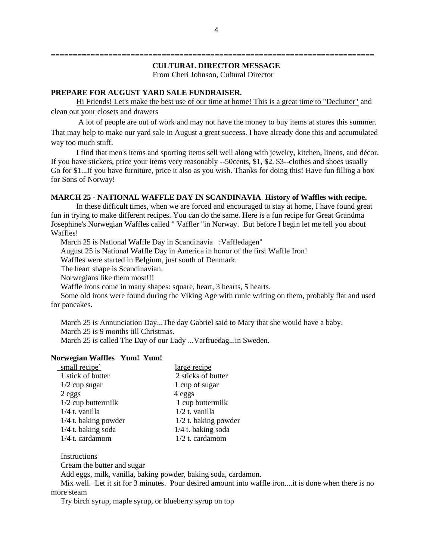# **CULTURAL DIRECTOR MESSAGE**

From Cheri Johnson, Cultural Director

**=========================================================================**

### **PREPARE FOR AUGUST YARD SALE FUNDRAISER.**

Hi Friends! Let's make the best use of our time at home! This is a great time to "Declutter" and clean out your closets and drawers

A lot of people are out of work and may not have the money to buy items at stores this summer. That may help to make our yard sale in August a great success. I have already done this and accumulated way too much stuff.

I find that men's items and sporting items sell well along with jewelry, kitchen, linens, and décor. If you have stickers, price your items very reasonably --50cents, \$1, \$2. \$3--clothes and shoes usually Go for \$1...If you have furniture, price it also as you wish. Thanks for doing this! Have fun filling a box for Sons of Norway!

#### **MARCH 25 - NATIONAL WAFFLE DAY IN SCANDINAVIA**. **History of Waffles with recipe.**

In these difficult times, when we are forced and encouraged to stay at home, I have found great fun in trying to make different recipes. You can do the same. Here is a fun recipe for Great Grandma Josephine's Norwegian Waffles called " Vaffler "in Norway. But before I begin let me tell you about Waffles!

March 25 is National Waffle Day in Scandinavia :Vaffledagen"

August 25 is National Waffle Day in America in honor of the first Waffle Iron!

Waffles were started in Belgium, just south of Denmark.

The heart shape is Scandinavian.

Norwegians like them most!!!

Waffle irons come in many shapes: square, heart, 3 hearts, 5 hearts.

Some old irons were found during the Viking Age with runic writing on them, probably flat and used for pancakes.

March 25 is Annunciation Day...The day Gabriel said to Mary that she would have a baby. March 25 is 9 months till Christmas.

March 25 is called The Day of our Lady ...Varfruedag...in Sweden.

#### **Norwegian Waffles Yum! Yum!**

| small recipe           | large recipe           |  |
|------------------------|------------------------|--|
| 1 stick of butter      | 2 sticks of butter     |  |
| $1/2$ cup sugar        | 1 cup of sugar         |  |
| 2 eggs                 | 4 eggs                 |  |
| $1/2$ cup buttermilk   | 1 cup buttermilk       |  |
| $1/4$ t. vanilla       | $1/2$ t. vanilla       |  |
| $1/4$ t. baking powder | $1/2$ t. baking powder |  |
| $1/4$ t. baking soda   | $1/4$ t. baking soda   |  |
| 1/4 t. cardamom        | 1/2 t. cardamom        |  |

#### Instructions

Cream the butter and sugar

Add eggs, milk, vanilla, baking powder, baking soda, cardamon.

Mix well. Let it sit for 3 minutes. Pour desired amount into waffle iron....it is done when there is no more steam

Try birch syrup, maple syrup, or blueberry syrup on top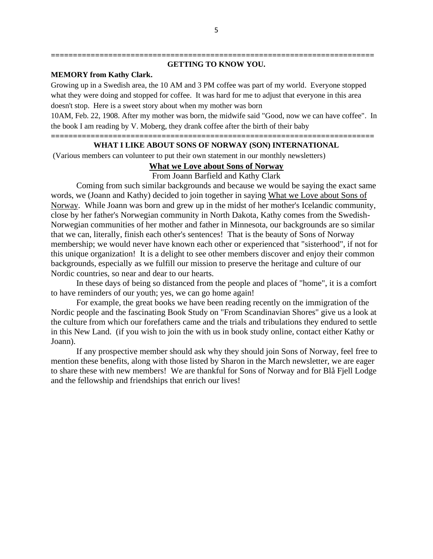#### **========================================================================= GETTING TO KNOW YOU.**

### **MEMORY from Kathy Clark.**

Growing up in a Swedish area, the 10 AM and 3 PM coffee was part of my world. Everyone stopped what they were doing and stopped for coffee. It was hard for me to adjust that everyone in this area doesn't stop. Here is a sweet story about when my mother was born

10AM, Feb. 22, 1908. After my mother was born, the midwife said "Good, now we can have coffee". In the book I am reading by V. Moberg, they drank coffee after the birth of their baby

#### **========================================================================= WHAT I LIKE ABOUT SONS OF NORWAY (SON) INTERNATIONAL**

(Various members can volunteer to put their own statement in our monthly newsletters)

## **What we Love about Sons of Norway**

From Joann Barfield and Kathy Clark

Coming from such similar backgrounds and because we would be saying the exact same words, we (Joann and Kathy) decided to join together in saying What we Love about Sons of Norway. While Joann was born and grew up in the midst of her mother's Icelandic community, close by her father's Norwegian community in North Dakota, Kathy comes from the Swedish-Norwegian communities of her mother and father in Minnesota, our backgrounds are so similar that we can, literally, finish each other's sentences! That is the beauty of Sons of Norway membership; we would never have known each other or experienced that "sisterhood", if not for this unique organization! It is a delight to see other members discover and enjoy their common backgrounds, especially as we fulfill our mission to preserve the heritage and culture of our Nordic countries, so near and dear to our hearts.

In these days of being so distanced from the people and places of "home", it is a comfort to have reminders of our youth; yes, we can go home again!

For example, the great books we have been reading recently on the immigration of the Nordic people and the fascinating Book Study on "From Scandinavian Shores" give us a look at the culture from which our forefathers came and the trials and tribulations they endured to settle in this New Land. (if you wish to join the with us in book study online, contact either Kathy or Joann).

If any prospective member should ask why they should join Sons of Norway, feel free to mention these benefits, along with those listed by Sharon in the March newsletter, we are eager to share these with new members! We are thankful for Sons of Norway and for Blå Fjell Lodge and the fellowship and friendships that enrich our lives!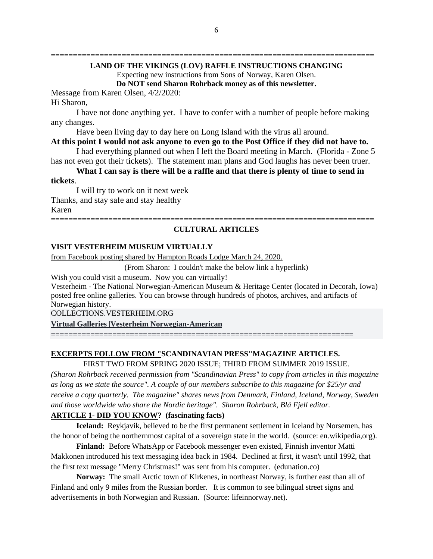# **LAND OF THE VIKINGS (LOV) RAFFLE INSTRUCTIONS CHANGING**

Expecting new instructions from Sons of Norway, Karen Olsen. **Do NOT send Sharon Rohrback money as of this newsletter.**

**=========================================================================**

Message from Karen Olsen, 4/2/2020:

#### Hi Sharon,

I have not done anything yet. I have to confer with a number of people before making any changes.

Have been living day to day here on Long Island with the virus all around.

**At this point I would not ask anyone to even go to the Post Office if they did not have to.** I had everything planned out when I left the Board meeting in March. (Florida - Zone 5

has not even got their tickets). The statement man plans and God laughs has never been truer. **What I can say is there will be a raffle and that there is plenty of time to send in** 

#### **tickets**.

I will try to work on it next week Thanks, and stay safe and stay healthy Karen **=========================================================================**

### **CULTURAL ARTICLES**

#### **VISIT VESTERHEIM MUSEUM VIRTUALLY**

from Facebook posting shared by Hampton Roads Lodge March 24, 2020.

(From Sharon: I couldn't make the below link a hyperlink)

Wish you could visit a museum. Now you can virtually!

Vesterheim - The National Norwegian-American Museum & Heritage Center (located in Decorah, Iowa) posted free online galleries. You can browse through hundreds of photos, archives, and artifacts of Norwegian history.

COLLECTIONS.VESTERHEIM.ORG

**[Virtual Galleries |Vesterheim Norwegian-American](https://l.facebook.com/l.php?u=https%3A%2F%2Fcollections.vesterheim.org%2Fvesterheim-archives%2Fvirtual-galleries%2F%3Futm_source%3DVesterheim%2BNorwegian-American%2BMuseum%2BEmails%26utm_campaign%3Db534361765-EMAIL_CAMPAIGN_2020_03_virus%26utm_medium%3Demail%26utm_term%3D0_cbaeb194c8-b534361765-95145321%26fbclid%3DIwAR2YJV4FgbIzNMLPy2lsN2GaYnrAHyIHD-BP-3WYzoKHz4kjROWUmUziae4&h=AT2UgIQETcr3c7A_FUySSJoV3v060adi_dPZqHYzVBturA-kVAxKp87soWsEn9PTZi8N-TW8CRmECdl8DoxTz1Z7cUkMlIB6QyDoxWxUwbkL_u1v07JMxRYU8I5vypKCJYvis7egftDJlhHJub0zLyW9m0o2RmBDjY5tcT6HaxsR5Ym0XREt2dpI2XmePxXKh5roDQKC5VSFxcczNHKA5uXMoYgjtu-OTi8MJ7jj5pBpbFGBNEIhScvxXoReCPhcO06ZZsAluZEeKieU30BWrwjubMxpBiaROpzocUX-H3oqyYZ2azhzAeig5qsoF9bIC4bGAzlCx7b-UQuKKgPoCaD2q2HvJDud7MSGIGonD0weEmC3HX-pFaTwGtx-sxO2QdyHY7A0zIIMcmbOEAxsbzKgSoPpOTjW9gvvJKxhA6wPIMU6VB3iFa18QiKna8aeyYalaH4ugxJjGemYg6B-NfudDwGbdDvcTd5ZCwioOK6TS72dPsjBoV0SAKTTW1K5QCdEM_rxjFAGPQsHa5LhMQ2sUA6Lsnk9OG_WF7m-Oy9Ee-y_0fLspfn8RyL696Ewpi10LtipD6gi3bXlhgN0RAtmAYghvHZR4emhgR6mltOZ5jM-ATjYq9n--Yk8j8A-fV_6a0owN0xhAxbt0xAR2lfgScT78rn9NUQ)**

### **EXCERPTS FOLLOW FROM "SCANDINAVIAN PRESS"MAGAZINE ARTICLES.**

=====================================================================

FIRST TWO FROM SPRING 2020 ISSUE; THIRD FROM SUMMER 2019 ISSUE.

*(Sharon Rohrback received permission from "Scandinavian Press" to copy from articles in this magazine as long as we state the source". A couple of our members subscribe to this magazine for \$25/yr and receive a copy quarterly. The magazine" shares news from Denmark, Finland, Iceland, Norway, Sweden and those worldwide who share the Nordic heritage". Sharon Rohrback, Blå Fjell editor.*

# **ARTICLE 1- DID YOU KNOW? (fascinating facts)**

**Iceland:** Reykjavik, believed to be the first permanent settlement in Iceland by Norsemen, has the honor of being the northernmost capital of a sovereign state in the world. (source: en.wikipedia,org).

**Finland:** Before WhatsApp or Facebook messenger even existed, Finnish inventor Matti Makkonen introduced his text messaging idea back in 1984. Declined at first, it wasn't until 1992, that the first text message "Merry Christmas!" was sent from his computer. (edunation.co)

**Norway:** The small Arctic town of Kirkenes, in northeast Norway, is further east than all of Finland and only 9 miles from the Russian border. It is common to see bilingual street signs and advertisements in both Norwegian and Russian. (Source: lifeinnorway.net).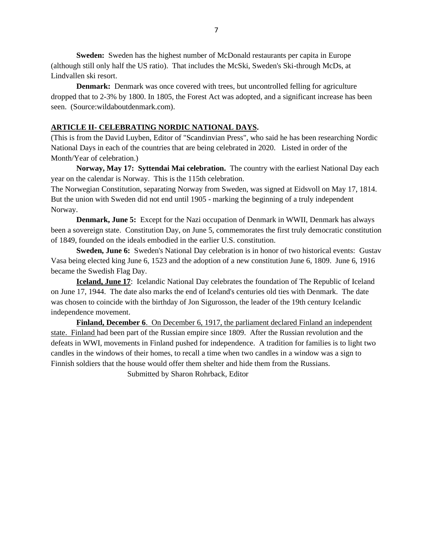**Sweden:** Sweden has the highest number of McDonald restaurants per capita in Europe (although still only half the US ratio). That includes the McSki, Sweden's Ski-through McDs, at Lindvallen ski resort.

**Denmark:** Denmark was once covered with trees, but uncontrolled felling for agriculture dropped that to 2-3% by 1800. In 1805, the Forest Act was adopted, and a significant increase has been seen. (Source:wildaboutdenmark.com).

### **ARTICLE II- CELEBRATING NORDIC NATIONAL DAYS.**

(This is from the David Luyben, Editor of "Scandinvian Press", who said he has been researching Nordic National Days in each of the countries that are being celebrated in 2020. Listed in order of the Month/Year of celebration.)

**Norway, May 17: Syttendai Mai celebration.** The country with the earliest National Day each year on the calendar is Norway. This is the 115th celebration.

The Norwegian Constitution, separating Norway from Sweden, was signed at Eidsvoll on May 17, 1814. But the union with Sweden did not end until 1905 - marking the beginning of a truly independent Norway.

**Denmark, June 5:** Except for the Nazi occupation of Denmark in WWII, Denmark has always been a sovereign state. Constitution Day, on June 5, commemorates the first truly democratic constitution of 1849, founded on the ideals embodied in the earlier U.S. constitution.

**Sweden, June 6:** Sweden's National Day celebration is in honor of two historical events: Gustav Vasa being elected king June 6, 1523 and the adoption of a new constitution June 6, 1809. June 6, 1916 became the Swedish Flag Day.

**Iceland, June 17**: Icelandic National Day celebrates the foundation of The Republic of Iceland on June 17, 1944. The date also marks the end of Iceland's centuries old ties with Denmark. The date was chosen to coincide with the birthday of Jon Sigurosson, the leader of the 19th century Icelandic independence movement.

**Finland, December 6.** On December 6, 1917, the parliament declared Finland an independent state. Finland had been part of the Russian empire since 1809. After the Russian revolution and the defeats in WWI, movements in Finland pushed for independence. A tradition for families is to light two candles in the windows of their homes, to recall a time when two candles in a window was a sign to Finnish soldiers that the house would offer them shelter and hide them from the Russians.

Submitted by Sharon Rohrback, Editor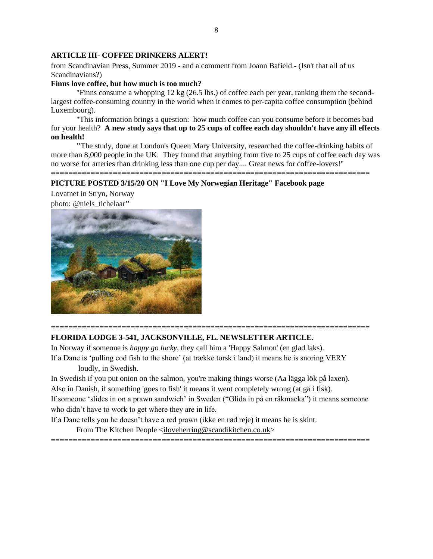#### **ARTICLE III- COFFEE DRINKERS ALERT!**

from Scandinavian Press, Summer 2019 - and a comment from Joann Bafield.- (Isn't that all of us Scandinavians?)

### **Finns love coffee, but how much is too much?**

"Finns consume a whopping 12 kg (26.5 lbs.) of coffee each per year, ranking them the secondlargest coffee-consuming country in the world when it comes to per-capita coffee consumption (behind Luxembourg).

"This information brings a question: how much coffee can you consume before it becomes bad for your health? **A new study says that up to 25 cups of coffee each day shouldn't have any ill effects on health!**

**"**The study, done at London's Queen Mary University, researched the coffee-drinking habits of more than 8,000 people in the UK. They found that anything from five to 25 cups of coffee each day was no worse for arteries than drinking less than one cup per day.... Great news for coffee-lovers!" **========================================================================**

#### **PICTURE POSTED 3/15/20 ON "I Love My Norwegian Heritage" Facebook page**

Lovatnet in Stryn, Norway



### **======================================================================== FLORIDA LODGE 3-541, JACKSONVILLE, FL. NEWSLETTER ARTICLE.**

In Norway if someone is *happy go lucky,* they call him a 'Happy Salmon' (en glad laks). If a Dane is 'pulling cod fish to the shore' (at trække torsk i land) it means he is snoring VERY

loudly, in Swedish.

In Swedish if you put onion on the salmon, you're making things worse (Aa lägga lök på laxen).

Also in Danish, if something 'goes to fish' it means it went completely wrong (at gå i fisk).

If someone 'slides in on a prawn sandwich' in Sweden ("Glida in på en räkmacka") it means someone who didn't have to work to get where they are in life.

If a Dane tells you he doesn't have a red prawn (ikke en rød reje) it means he is skint.

From The Kitchen People [<iloveherring@scandikitchen.co.uk>](mailto:iloveherring@scandikitchen.co.uk)

**========================================================================**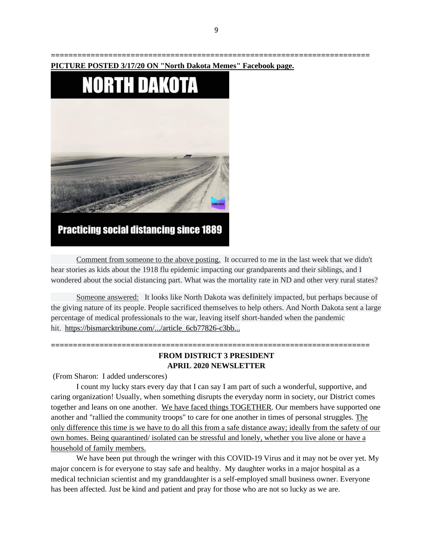

# **Practicing social distancing since 1889**

Comment from someone to the above posting. It occurred to me in the last week that we didn't hear stories as kids about the 1918 flu epidemic impacting our grandparents and their siblings, and I wondered about the social distancing part. What was the mortality rate in ND and other very rural states?

Someone answered: It looks like North Dakota was definitely impacted, but perhaps because of the giving nature of its people. People sacrificed themselves to help others. And North Dakota sent a large percentage of medical professionals to the war, leaving itself short-handed when the pandemic hit. [https://bismarcktribune.com/.../article\\_6cb77826-c3bb...](https://bismarcktribune.com/flu-pandemic-raged-in-north-dakota-and-worldwide/article_6cb77826-c3bb-59a6-89d7-2f6d87c122ec.html?fbclid=IwAR2zQep_GdMs62luaZuQbfN6zXn4u7Nr0Z3xywTE5luSIQW6GghV-wGTiEw)

# **FROM DISTRICT 3 PRESIDENT APRIL 2020 NEWSLETTER**

**========================================================================**

(From Sharon: I added underscores)

I count my lucky stars every day that I can say I am part of such a wonderful, supportive, and caring organization! Usually, when something disrupts the everyday norm in society, our District comes together and leans on one another. We have faced things TOGETHER. Our members have supported one another and "rallied the community troops" to care for one another in times of personal struggles. The only difference this time is we have to do all this from a safe distance away; ideally from the safety of our own homes. Being quarantined/ isolated can be stressful and lonely, whether you live alone or have a household of family members.

We have been put through the wringer with this COVID-19 Virus and it may not be over yet. My major concern is for everyone to stay safe and healthy. My daughter works in a major hospital as a medical technician scientist and my granddaughter is a self-employed small business owner. Everyone has been affected. Just be kind and patient and pray for those who are not so lucky as we are.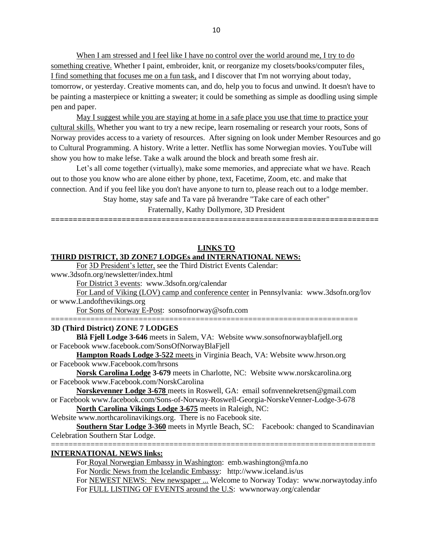When I am stressed and I feel like I have no control over the world around me, I try to do something creative. Whether I paint, embroider, knit, or reorganize my closets/books/computer files, I find something that focuses me on a fun task, and I discover that I'm not worrying about today, tomorrow, or yesterday. Creative moments can, and do, help you to focus and unwind. It doesn't have to be painting a masterpiece or knitting a sweater; it could be something as simple as doodling using simple pen and paper.

May I suggest while you are staying at home in a safe place you use that time to practice your cultural skills. Whether you want to try a new recipe, learn rosemaling or research your roots, Sons of Norway provides access to a variety of resources. After signing on look under Member Resources and go to Cultural Programming. A history. Write a letter. Netflix has some Norwegian movies. YouTube will show you how to make lefse. Take a walk around the block and breath some fresh air.

Let's all come together (virtually), make some memories, and appreciate what we have. Reach out to those you know who are alone either by phone, text, Facetime, Zoom, etc. and make that connection. And if you feel like you don't have anyone to turn to, please reach out to a lodge member.

Stay home, stay safe and Ta vare på hverandre "Take care of each other"

Fraternally, Kathy Dollymore, 3D President

**==========================================================================**

# **LINKS TO**

#### **THIRD DISTRICT, 3D ZONE7 LODGEs and INTERNATIONAL NEWS:**

For 3D President's letter, see the Third District Events Calendar:

www.3dsofn.org/newsletter/index.html

For District 3 events: www.3dsofn.org/calendar

For Land of Viking (LOV) camp and conference center in Pennsylvania: www.3dsofn.org/lov or www.Landofthevikings.org

======================================================================

For Sons of Norway E-Post: sonsofnorway@sofn.com

#### **3D (Third District) ZONE 7 LODGES**

**Blå Fjell Lodge 3-646** meets in Salem, VA: Website www[.sonsofnorwayblafjell.org](http://222.sonsofnorwayblafjell.org/) or Facebook [www.facebook.com/SonsOfNorwayBlaFjell](http://www.facebook.com/SonsOfNorwayBlaFjell)

**Hampton Roads Lodge 3-522** meets in Virginia Beach, VA: Website www.hrson.org or Facebook www.Facebook.com/hrsons

**Norsk Carolina Lodge 3-679** meets in Charlotte, NC: Website www.norskcarolina.org or Facebook www.Facebook.com/NorskCarolina

**Norskevenner Lodge 3-678** meets in Roswell, GA: email sofnvennekretsen@gmail.com or Facebook www.facebook.com/Sons-of-Norway-Roswell-Georgia-NorskeVenner-Lodge-3-678

**North Carolina Vikings Lodge 3-675** meets in Raleigh, NC:

Website www.northcarolinavikings.org. There is no Facebook site.

**Southern Star Lodge 3-360** meets in Myrtle Beach, SC: Facebook: changed to Scandinavian Celebration Southern Star Lodge. ==========================================================================

#### **INTERNATIONAL NEWS links:**

For Royal Norwegian Embassy in Washington: emb.washington@mfa.no For Nordic News from the Icelandic Embassy: http://www.iceland.is/us For NEWEST NEWS: New newspaper ... Welcome to Norway Today: www.norwaytoday.info For FULL LISTING OF EVENTS around the U.S: www.norway.org/calendar